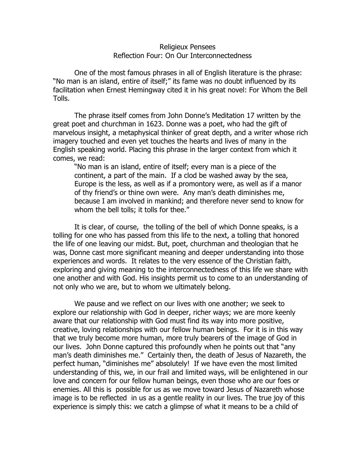## Religieux Pensees Reflection Four: On Our Interconnectedness

 One of the most famous phrases in all of English literature is the phrase: "No man is an island, entire of itself;" its fame was no doubt influenced by its facilitation when Ernest Hemingway cited it in his great novel: For Whom the Bell Tolls.

 The phrase itself comes from John Donne's Meditation 17 written by the great poet and churchman in 1623. Donne was a poet, who had the gift of marvelous insight, a metaphysical thinker of great depth, and a writer whose rich imagery touched and even yet touches the hearts and lives of many in the English speaking world. Placing this phrase in the larger context from which it comes, we read:

"No man is an island, entire of itself; every man is a piece of the continent, a part of the main. If a clod be washed away by the sea, Europe is the less, as well as if a promontory were, as well as if a manor of thy friend's or thine own were. Any man's death diminishes me, because I am involved in mankind; and therefore never send to know for whom the bell tolls; it tolls for thee."

It is clear, of course, the tolling of the bell of which Donne speaks, is a tolling for one who has passed from this life to the next, a tolling that honored the life of one leaving our midst. But, poet, churchman and theologian that he was, Donne cast more significant meaning and deeper understanding into those experiences and words. It relates to the very essence of the Christian faith, exploring and giving meaning to the interconnectedness of this life we share with one another and with God. His insights permit us to come to an understanding of not only who we are, but to whom we ultimately belong.

 We pause and we reflect on our lives with one another; we seek to explore our relationship with God in deeper, richer ways; we are more keenly aware that our relationship with God must find its way into more positive, creative, loving relationships with our fellow human beings. For it is in this way that we truly become more human, more truly bearers of the image of God in our lives. John Donne captured this profoundly when he points out that "any man's death diminishes me." Certainly then, the death of Jesus of Nazareth, the perfect human, "diminishes me" absolutely! If we have even the most limited understanding of this, we, in our frail and limited ways, will be enlightened in our love and concern for our fellow human beings, even those who are our foes or enemies. All this is possible for us as we move toward Jesus of Nazareth whose image is to be reflected in us as a gentle reality in our lives. The true joy of this experience is simply this: we catch a glimpse of what it means to be a child of